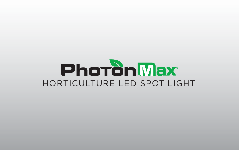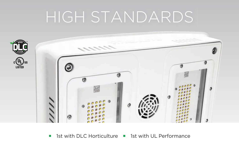# HIGH STANDARDS



■ 1st with DLC Horticulture ■ 1st with UL Performance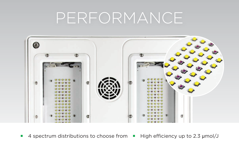## PERFORMANCE



**4** spectrum distributions to choose from **•** High efficiency up to 2.3  $\mu$ mol/J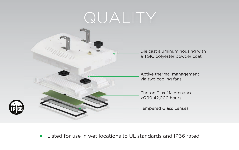# QUALITY



Die cast aluminum housing with a TGIC polyester powder coat

Active thermal management via two cooling fans

Photon Flux Maintenance >Q90 42,000 hours

Tempered Glass Lenses

■ Listed for use in wet locations to UL standards and IP66 rated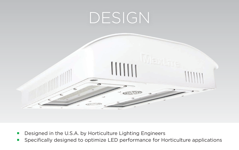

- Designed in the U.S.A. by Horticulture Lighting Engineers
- **•** Specifically designed to optimize LED performance for Horticulture applications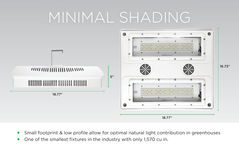### MINIMAL SHADING



- Small footprint & low profile allow for optimal natural light contribution in greenhouses
- One of the smallest fixtures in the industry with only 1,570 cu in.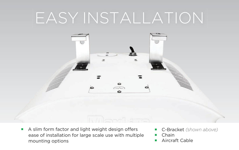# EASY INSTALLATION



- A slim form factor and light weight design offers ease of installation for large scale use with multiple mounting options
- ¡ C-Bracket *(shown above)*
- **Chain**
- Aircraft Cable